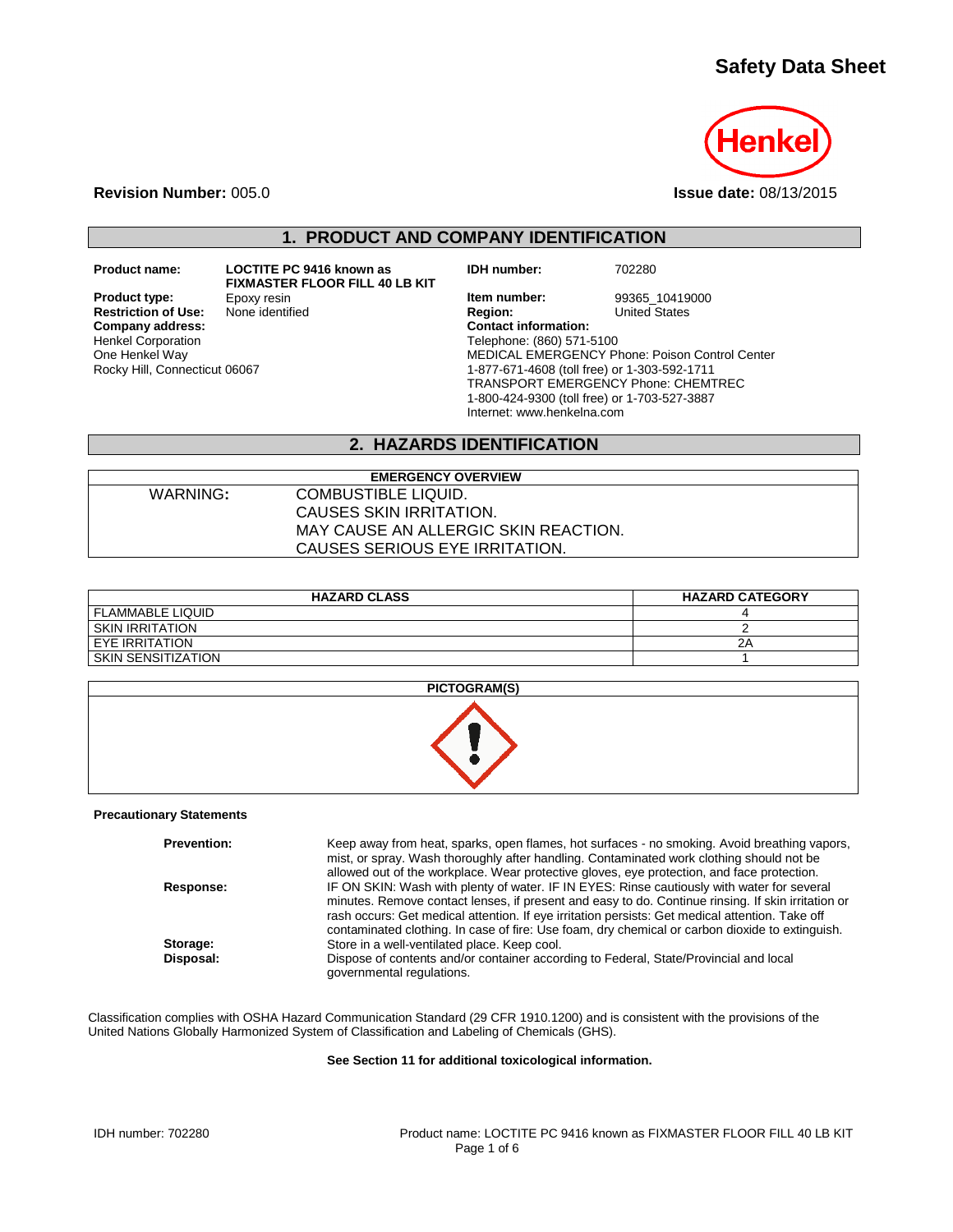# **Safety Data Sheet**



**Revision Number:** 005.0 **Issue date:** 08/13/2015

## **1. PRODUCT AND COMPANY IDENTIFICATION**

**Restriction of Use:**<br>Company address: Henkel Corporation One Henkel Way Rocky Hill, Connecticut 06067

**Product name: LOCTITE PC 9416 known as FIXMASTER FLOOR FILL 40 LB KIT**<br>Epoxy resin **IDH number:** 702280

**Product type:** Epoxy resin **Item number:** 99365\_10419000<br> **Restriction of Use:** None identified **Interval Proportion Inited States Company address: Contact information:** Telephone: (860) 571-5100 MEDICAL EMERGENCY Phone: Poison Control Center 1-877-671-4608 (toll free) or 1-303-592-1711 TRANSPORT EMERGENCY Phone: CHEMTREC 1-800-424-9300 (toll free) or 1-703-527-3887 Internet: www.henkelna.com

### **2. HAZARDS IDENTIFICATION**

| <b>EMERGENCY OVERVIEW</b> |                                      |  |  |
|---------------------------|--------------------------------------|--|--|
| WARNING:                  | COMBUSTIBLE LIQUID.                  |  |  |
|                           | CAUSES SKIN IRRITATION.              |  |  |
|                           | MAY CAUSE AN ALLERGIC SKIN REACTION. |  |  |
|                           | CAUSES SERIOUS EYE IRRITATION.       |  |  |

| <b>HAZARD CLASS</b>     | <b>HAZARD CATEGORY</b> |
|-------------------------|------------------------|
| <b>FLAMMABLE LIQUID</b> |                        |
| SKIN IRRITATION         |                        |
| EYE IRRITATION          | 2Α                     |
| SKIN SENSITIZATION      |                        |

| PICTOGRAM(S) |
|--------------|
|              |

#### **Precautionary Statements**

| <b>Prevention:</b> | Keep away from heat, sparks, open flames, hot surfaces - no smoking. Avoid breathing vapors,<br>mist, or spray. Wash thoroughly after handling. Contaminated work clothing should not be<br>allowed out of the workplace. Wear protective gloves, eye protection, and face protection.                                                                                                                 |
|--------------------|--------------------------------------------------------------------------------------------------------------------------------------------------------------------------------------------------------------------------------------------------------------------------------------------------------------------------------------------------------------------------------------------------------|
| Response:          | IF ON SKIN: Wash with plenty of water. IF IN EYES: Rinse cautiously with water for several<br>minutes. Remove contact lenses, if present and easy to do. Continue rinsing. If skin irritation or<br>rash occurs: Get medical attention. If eye irritation persists: Get medical attention. Take off<br>contaminated clothing. In case of fire: Use foam, dry chemical or carbon dioxide to extinguish. |
| Storage:           | Store in a well-ventilated place. Keep cool.                                                                                                                                                                                                                                                                                                                                                           |
| Disposal:          | Dispose of contents and/or container according to Federal, State/Provincial and local<br>governmental regulations.                                                                                                                                                                                                                                                                                     |

Classification complies with OSHA Hazard Communication Standard (29 CFR 1910.1200) and is consistent with the provisions of the United Nations Globally Harmonized System of Classification and Labeling of Chemicals (GHS).

#### **See Section 11 for additional toxicological information.**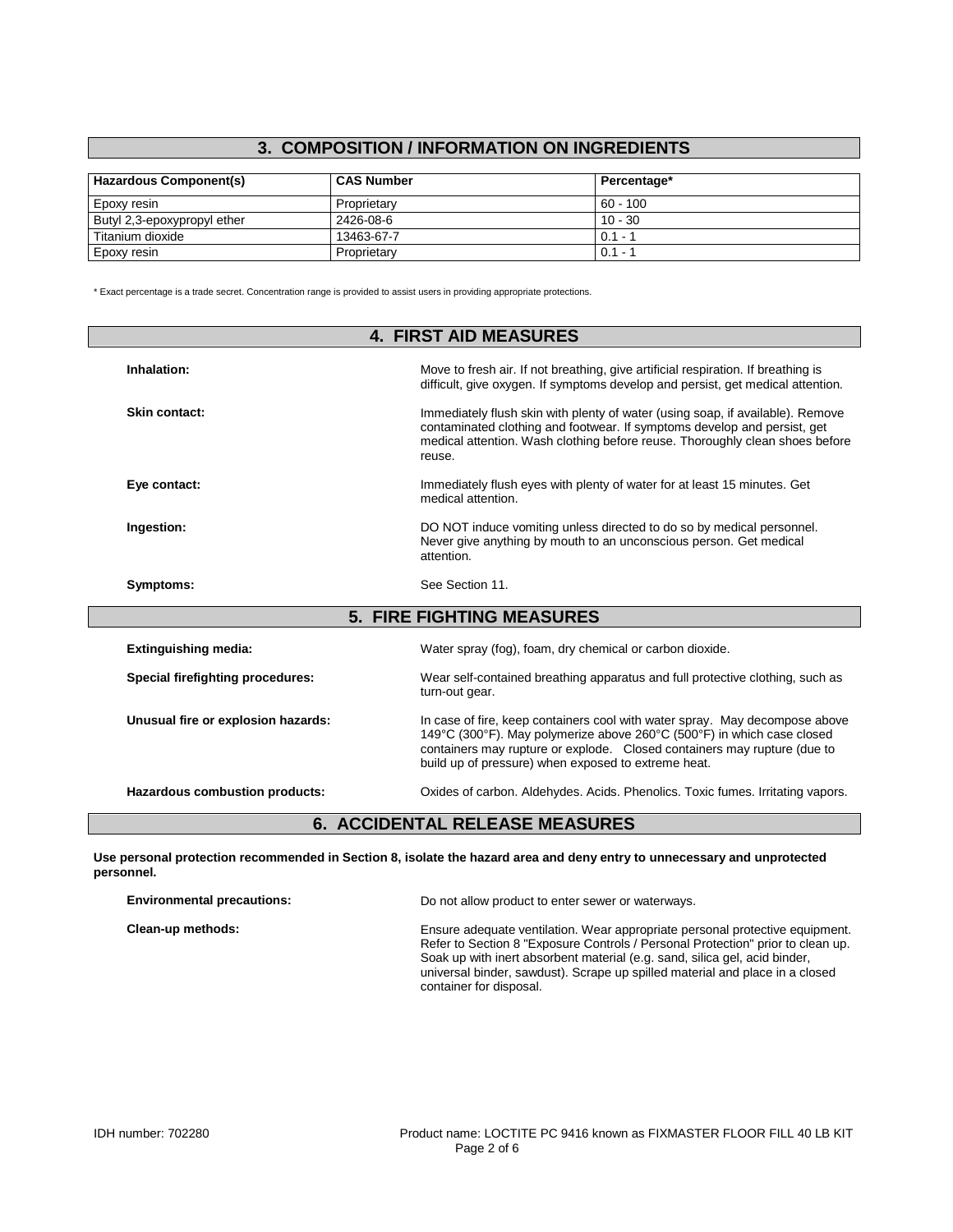# **3. COMPOSITION / INFORMATION ON INGREDIENTS**

| Hazardous Component(s)      | <b>CAS Number</b> | Percentage* |
|-----------------------------|-------------------|-------------|
| Epoxy resin                 | Proprietary       | $60 - 100$  |
| Butyl 2,3-epoxypropyl ether | 2426-08-6         | $10 - 30$   |
| Titanium dioxide            | 13463-67-7        | $0.1 - 1$   |
| Epoxy resin                 | Proprietary       | $0.1 - 1$   |

\* Exact percentage is a trade secret. Concentration range is provided to assist users in providing appropriate protections.

| <b>4. FIRST AID MEASURES</b>       |                                                                                                                                                                                                                                                                                          |  |
|------------------------------------|------------------------------------------------------------------------------------------------------------------------------------------------------------------------------------------------------------------------------------------------------------------------------------------|--|
| Inhalation:                        | Move to fresh air. If not breathing, give artificial respiration. If breathing is<br>difficult, give oxygen. If symptoms develop and persist, get medical attention.                                                                                                                     |  |
| Skin contact:                      | Immediately flush skin with plenty of water (using soap, if available). Remove<br>contaminated clothing and footwear. If symptoms develop and persist, get<br>medical attention. Wash clothing before reuse. Thoroughly clean shoes before<br>reuse.                                     |  |
| Eye contact:                       | Immediately flush eyes with plenty of water for at least 15 minutes. Get<br>medical attention.                                                                                                                                                                                           |  |
| Ingestion:                         | DO NOT induce vomiting unless directed to do so by medical personnel.<br>Never give anything by mouth to an unconscious person. Get medical<br>attention.                                                                                                                                |  |
| Symptoms:                          | See Section 11.                                                                                                                                                                                                                                                                          |  |
|                                    | <b>5. FIRE FIGHTING MEASURES</b>                                                                                                                                                                                                                                                         |  |
| <b>Extinguishing media:</b>        | Water spray (fog), foam, dry chemical or carbon dioxide.                                                                                                                                                                                                                                 |  |
| Special firefighting procedures:   | Wear self-contained breathing apparatus and full protective clothing, such as<br>turn-out gear.                                                                                                                                                                                          |  |
| Unusual fire or explosion hazards: | In case of fire, keep containers cool with water spray. May decompose above<br>149°C (300°F). May polymerize above 260°C (500°F) in which case closed<br>containers may rupture or explode. Closed containers may rupture (due to<br>build up of pressure) when exposed to extreme heat. |  |
|                                    |                                                                                                                                                                                                                                                                                          |  |

**Use personal protection recommended in Section 8, isolate the hazard area and deny entry to unnecessary and unprotected personnel.**

| <b>Environmental precautions:</b> | Do not allow product to enter sewer or waterways.                                                                                                                                                                                                                                                                                                        |  |
|-----------------------------------|----------------------------------------------------------------------------------------------------------------------------------------------------------------------------------------------------------------------------------------------------------------------------------------------------------------------------------------------------------|--|
| Clean-up methods:                 | Ensure adequate ventilation. Wear appropriate personal protective equipment.<br>Refer to Section 8 "Exposure Controls / Personal Protection" prior to clean up.<br>Soak up with inert absorbent material (e.g. sand, silica gel, acid binder,<br>universal binder, sawdust). Scrape up spilled material and place in a closed<br>container for disposal. |  |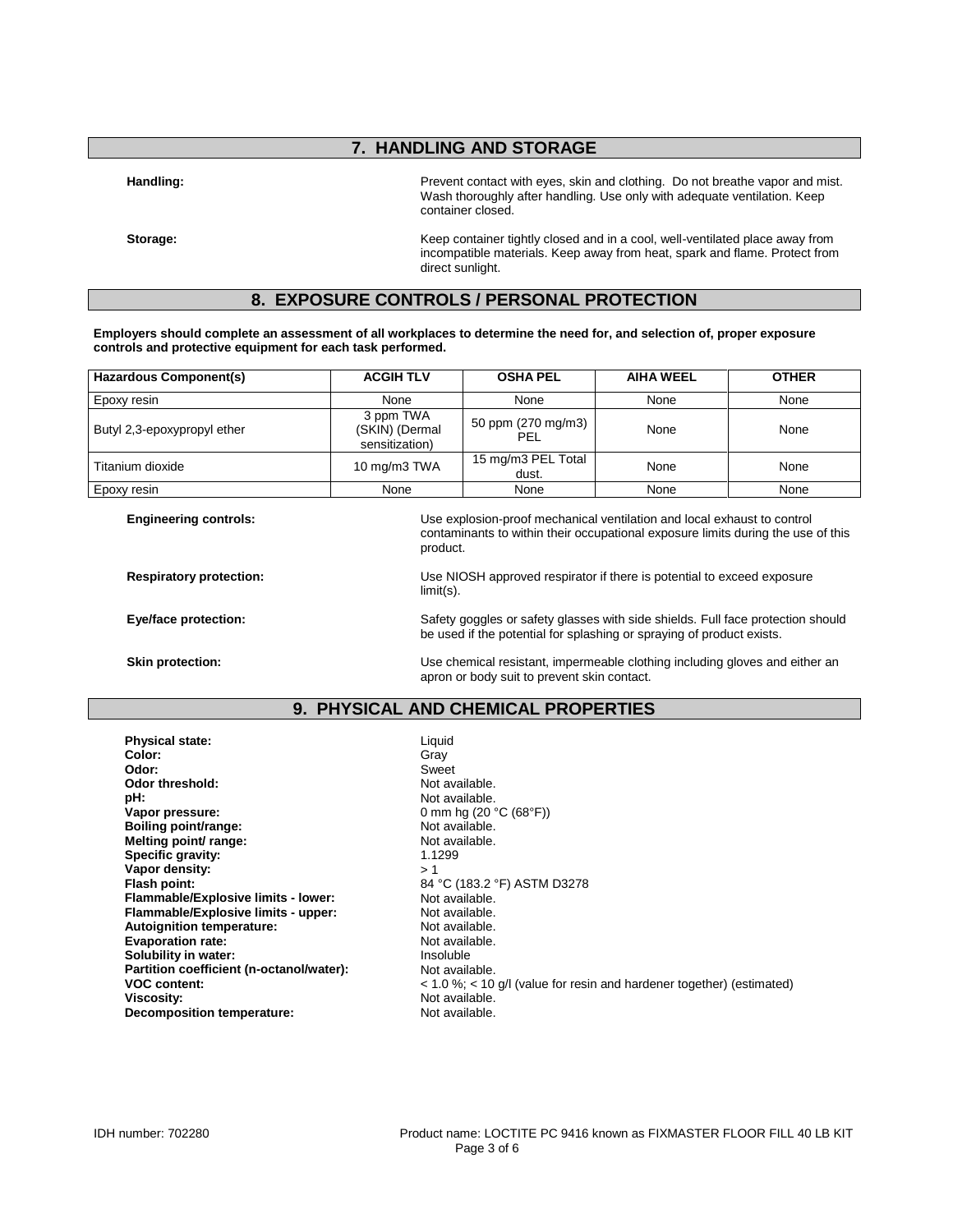## **7. HANDLING AND STORAGE**

Handling: **Handling: Prevent contact with eyes**, skin and clothing. Do not breathe vapor and mist. Wash thoroughly after handling. Use only with adequate ventilation. Keep container closed.

**Storage:** Keep container tightly closed and in a cool, well-ventilated place away from incompatible materials. Keep away from heat, spark and flame. Protect from direct sunlight.

## **8. EXPOSURE CONTROLS / PERSONAL PROTECTION**

**Employers should complete an assessment of all workplaces to determine the need for, and selection of, proper exposure controls and protective equipment for each task performed.**

product.

| Hazardous Component(s)      | <b>ACGIH TLV</b>                              | <b>OSHA PEL</b>             | <b>AIHA WEEL</b> | <b>OTHER</b> |
|-----------------------------|-----------------------------------------------|-----------------------------|------------------|--------------|
| Epoxy resin                 | None                                          | None                        | None             | None         |
| Butyl 2,3-epoxypropyl ether | 3 ppm TWA<br>(SKIN) (Dermal<br>sensitization) | 50 ppm (270 mg/m3)<br>PEL   | None             | None         |
| Titanium dioxide            | 10 mg/m3 TWA                                  | 15 mg/m3 PEL Total<br>dust. | None             | None         |
| Epoxy resin                 | None                                          | None                        | None             | None         |

**Engineering controls:** Use explosion-proof mechanical ventilation and local exhaust to control

**Respiratory protection:** Use NIOSH approved respirator if there is potential to exceed exposure limit(s).

contaminants to within their occupational exposure limits during the use of this

**Eye/face protection:** Safety goggles or safety glasses with side shields. Full face protection should be used if the potential for splashing or spraying of product exists.

**Skin protection:** The Use chemical resistant, impermeable clothing including gloves and either an apron or body suit to prevent skin contact.

#### **9. PHYSICAL AND CHEMICAL PROPERTIES**

**Physical state:** Liquid **Color:** Gray **Odor:** Sweet **Odor threshold:** Not available.<br> **pH:** Not available. **Vapor pressure:** 0 mm hg (20 °C (68°F))<br> **Boiling point/range:** 0 mm hg (20 °C (68°F)) **Boiling point/range:** Not available.<br> **Melting point/ range:** Not available. **Melting point/ range:** Not available. Not available. Not available. Not available. Not available. Not available. Not available. Not available. Not available. Not available. Not available. Not available. Not available. Not **Specific gravity: Vapor density:**  $>1$ <br>Flash point: 84 **Flammable/Explosive limits - lower:** Not available.<br> **Flammable/Explosive limits - upper:** Not available. **Flammable/Explosive limits - upper: Autoignition temperature:** Not available.<br> **Evaporation rate:** Not available. **Evaporation rate: Solubility in water:** Insoluble **Partition coefficient (n-octanol/water):** Not available.<br>VOC content:  $< 1.0 \%$ ; < 10 **Decomposition temperature:** Not available.

Not available. **Flash point:** 84 °C (183.2 °F) ASTM D3278 **VOC content:**  $\le$  1.0 %; < 10 g/l (value for resin and hardener together) (estimated)<br>Viscosity: Not available. Not available.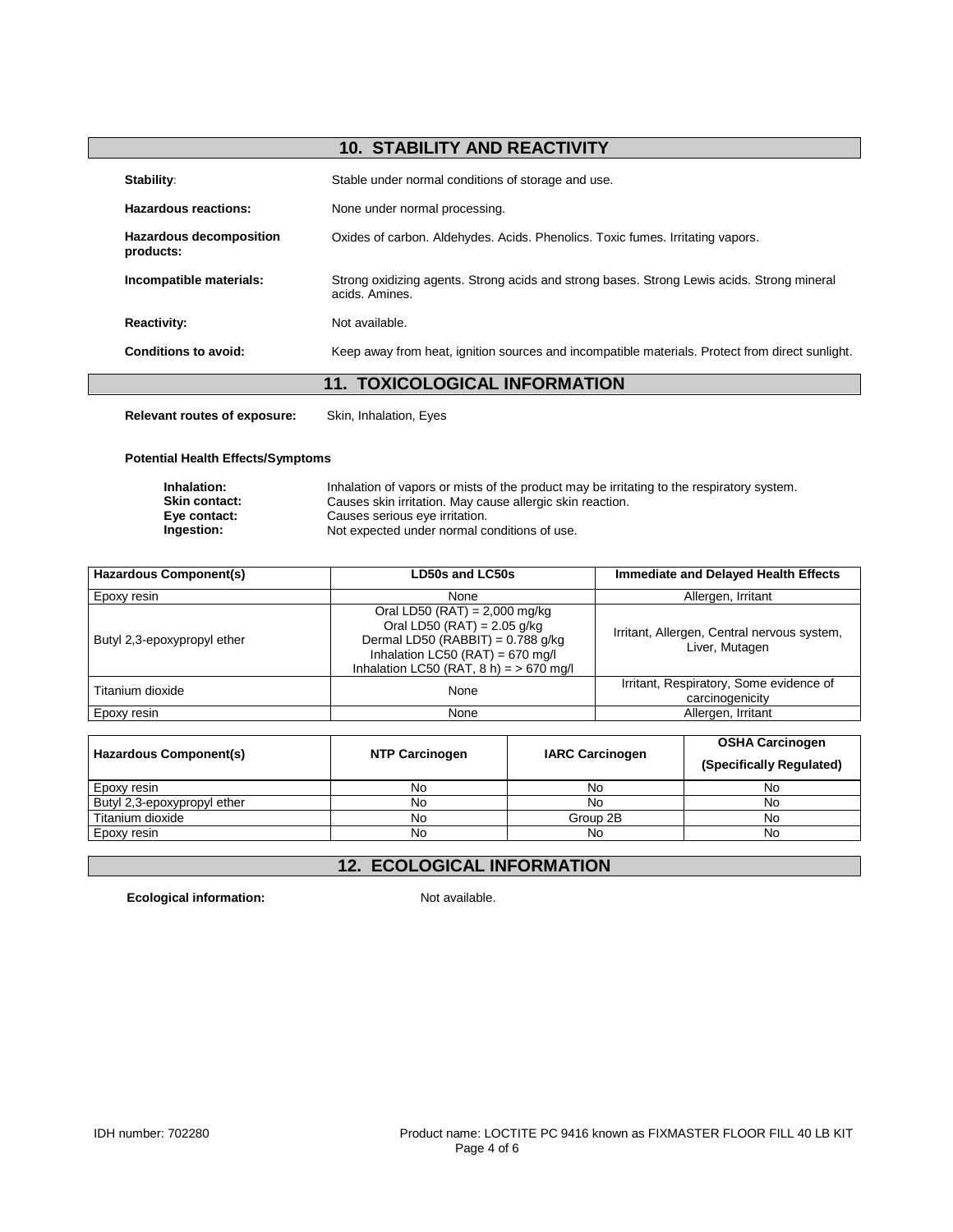# **10. STABILITY AND REACTIVITY**

|                                             | <b>11. TOXICOLOGICAL INFORMATION</b>                                                                         |
|---------------------------------------------|--------------------------------------------------------------------------------------------------------------|
| Conditions to avoid:                        | Keep away from heat, ignition sources and incompatible materials. Protect from direct sunlight.              |
| <b>Reactivity:</b>                          | Not available.                                                                                               |
| Incompatible materials:                     | Strong oxidizing agents. Strong acids and strong bases. Strong Lewis acids. Strong mineral<br>acids, Amines. |
| <b>Hazardous decomposition</b><br>products: | Oxides of carbon. Aldehydes. Acids. Phenolics. Toxic fumes. Irritating vapors.                               |
| Hazardous reactions:                        | None under normal processing.                                                                                |
| Stability:                                  | Stable under normal conditions of storage and use.                                                           |

**Relevant routes of exposure:** Skin, Inhalation, Eyes

#### **Potential Health Effects/Symptoms**

| Inhalation:          | Inhalation of vapors or mists of the product may be irritating to the respiratory system. |
|----------------------|-------------------------------------------------------------------------------------------|
| <b>Skin contact:</b> | Causes skin irritation. May cause allergic skin reaction.                                 |
| Eye contact:         | Causes serious eye irritation.                                                            |
| Ingestion:           | Not expected under normal conditions of use.                                              |

| <b>Hazardous Component(s)</b> | <b>LD50s and LC50s</b>                                                                                                                                                                    | <b>Immediate and Delayed Health Effects</b>                   |  |
|-------------------------------|-------------------------------------------------------------------------------------------------------------------------------------------------------------------------------------------|---------------------------------------------------------------|--|
| Epoxy resin                   | None                                                                                                                                                                                      | Allergen, Irritant                                            |  |
| Butyl 2,3-epoxypropyl ether   | Oral LD50 (RAT) = $2,000$ mg/kg<br>Oral LD50 (RAT) = $2.05$ g/kg<br>Dermal LD50 (RABBIT) = $0.788$ g/kg<br>Inhalation LC50 (RAT) = 670 mg/l<br>Inhalation LC50 (RAT, $8 h$ ) = > 670 mg/l | Irritant, Allergen, Central nervous system,<br>Liver, Mutagen |  |
| Titanium dioxide              | None                                                                                                                                                                                      | Irritant, Respiratory, Some evidence of<br>carcinogenicity    |  |
| Epoxy resin                   | None                                                                                                                                                                                      | Allergen, Irritant                                            |  |

| Hazardous Component(s)      | <b>NTP Carcinogen</b> | <b>IARC Carcinogen</b> | <b>OSHA Carcinogen</b><br>(Specifically Regulated) |
|-----------------------------|-----------------------|------------------------|----------------------------------------------------|
| Epoxy resin                 | No                    | No                     | No                                                 |
| Butyl 2,3-epoxypropyl ether | No                    | No                     | No                                                 |
| Titanium dioxide            | No                    | Group 2B               | No                                                 |
| Epoxy resin                 | No                    | No                     | No                                                 |

# **12. ECOLOGICAL INFORMATION**

**Ecological information:** Not available.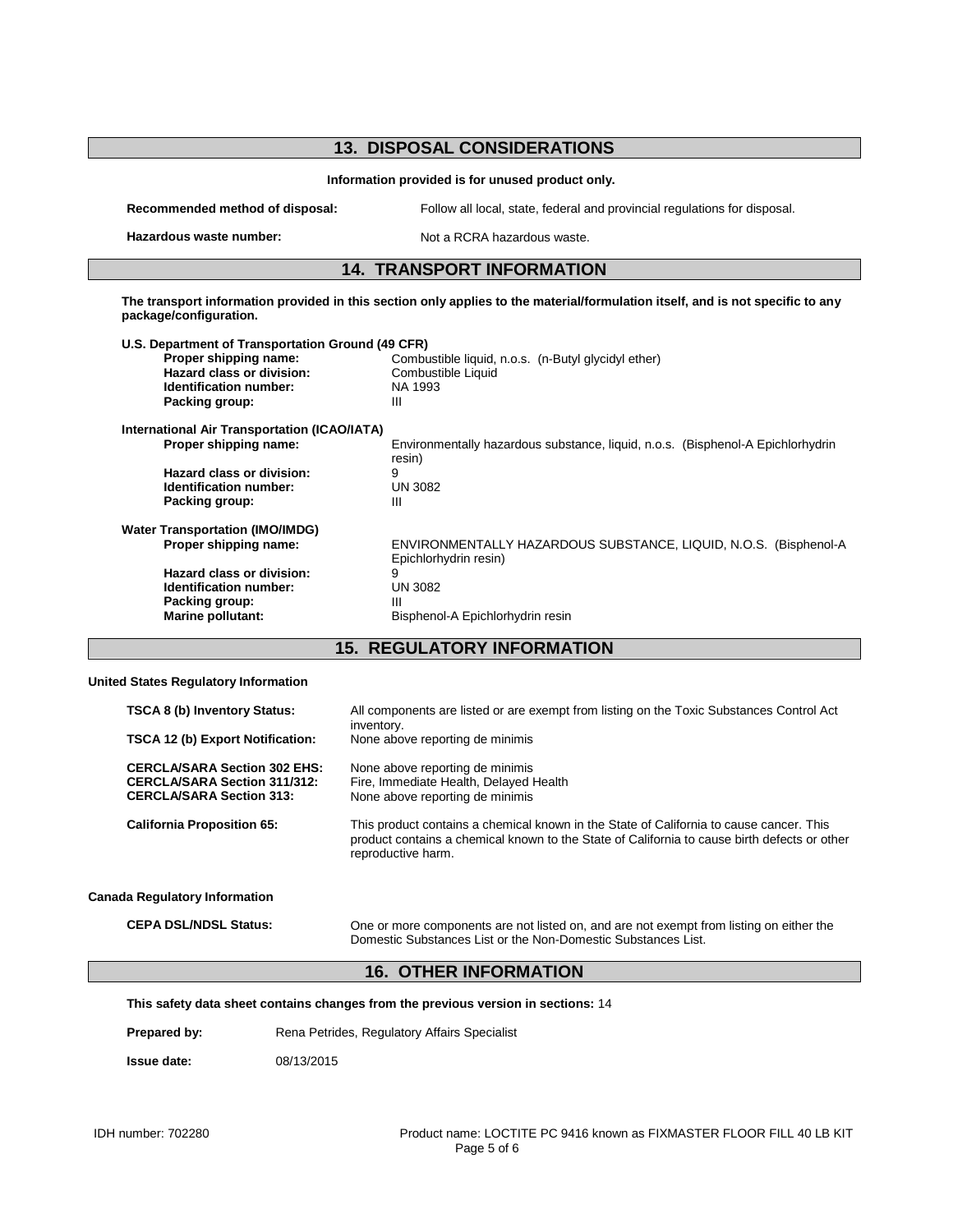## **13. DISPOSAL CONSIDERATIONS Information provided is for unused product only. Recommended method of disposal:** Follow all local, state, federal and provincial regulations for disposal. **Hazardous waste number:** Not a RCRA hazardous waste. **14. TRANSPORT INFORMATION The transport information provided in this section only applies to the material/formulation itself, and is not specific to any package/configuration. U.S. Department of Transportation Ground (49 CFR)** Combustible liquid, n.o.s. (n-Butyl glycidyl ether)<br>Combustible Liquid **Hazard class or division:** Combust<br> **Identification number:** NA 1993 **Identification number: Packing group:** III **International Air Transportation (ICAO/IATA) Proper shipping name:** Environmentally hazardous substance, liquid, n.o.s. (Bisphenol-A Epichlorhydrin resin)<br>9 **Hazard class or division:** 9<br> **Identification number:** UN 3082 **Identification number:** UN<br>Packing group: III **Packing group: Water Transportation (IMO/IMDG) Proper shipping name:** ENVIRONMENTALLY HAZARDOUS SUBSTANCE, LIQUID, N.O.S. (Bisphenol-A Epichlorhydrin resin) **Hazard class or division:** 9<br> **Identification number:** UN 3082 **Identification number:** UN 3082<br>Packing group **Packing group:**<br>Marine pollutant: **Marine pollutant:** Bisphenol-A Epichlorhydrin resin

**15. REGULATORY INFORMATION**

#### **United States Regulatory Information**

| <b>TSCA 8 (b) Inventory Status:</b><br>TSCA 12 (b) Export Notification:                                       | All components are listed or are exempt from listing on the Toxic Substances Control Act<br>inventory.<br>None above reporting de minimis                                                                     |
|---------------------------------------------------------------------------------------------------------------|---------------------------------------------------------------------------------------------------------------------------------------------------------------------------------------------------------------|
| <b>CERCLA/SARA Section 302 EHS:</b><br><b>CERCLA/SARA Section 311/312:</b><br><b>CERCLA/SARA Section 313:</b> | None above reporting de minimis<br>Fire, Immediate Health, Delayed Health<br>None above reporting de minimis                                                                                                  |
| <b>California Proposition 65:</b>                                                                             | This product contains a chemical known in the State of California to cause cancer. This<br>product contains a chemical known to the State of California to cause birth defects or other<br>reproductive harm. |
| <b>Canada Regulatory Information</b>                                                                          |                                                                                                                                                                                                               |
| <b>CEPA DSL/NDSL Status:</b>                                                                                  | One or more components are not listed on, and are not exempt from listing on either the<br>Domestic Substances List or the Non-Domestic Substances List.                                                      |

#### **16. OTHER INFORMATION**

| This safety data sheet contains changes from the previous version in sections: 14 |
|-----------------------------------------------------------------------------------|
|-----------------------------------------------------------------------------------|

Prepared by: Rena Petrides, Regulatory Affairs Specialist

**Issue date:** 08/13/2015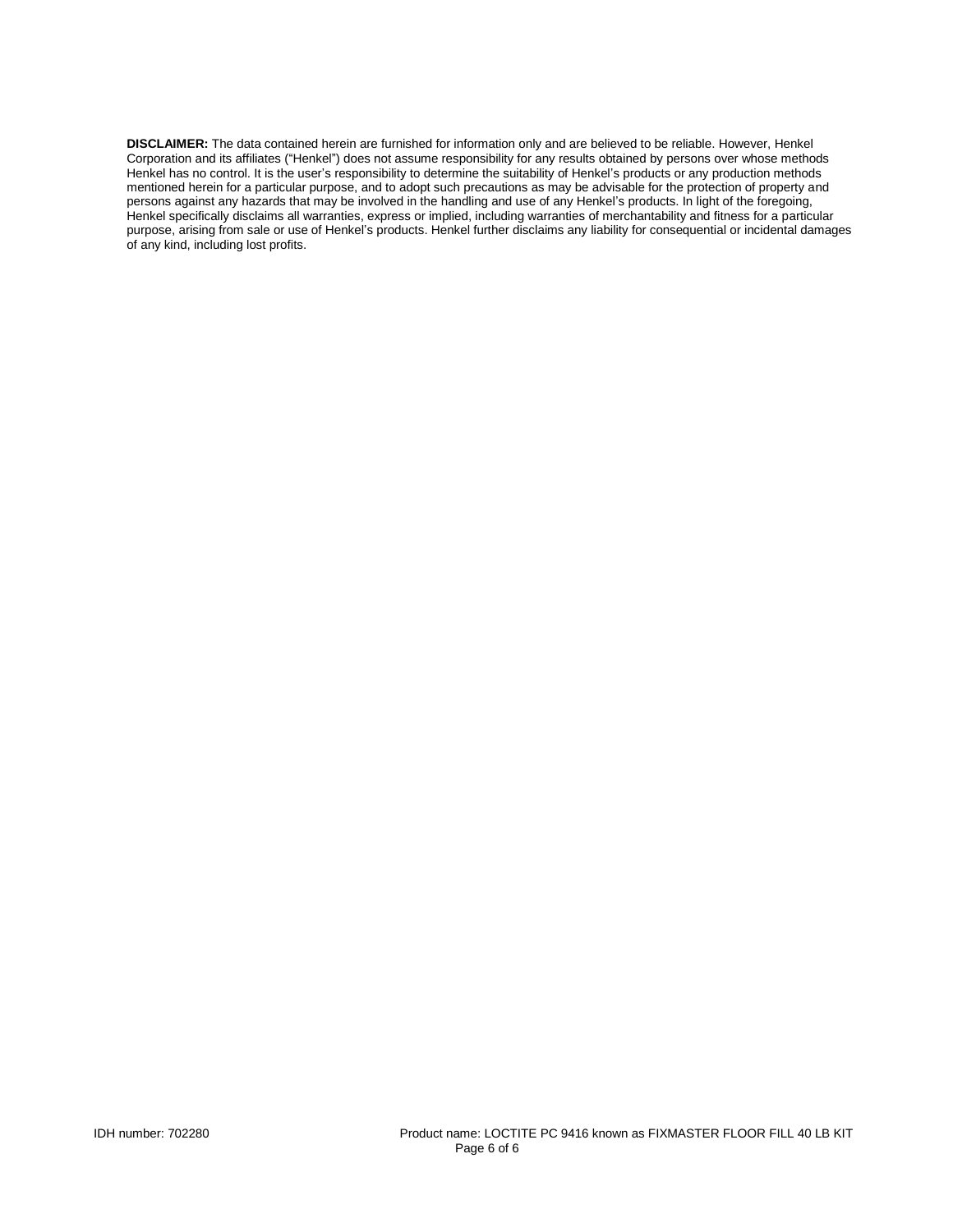**DISCLAIMER:** The data contained herein are furnished for information only and are believed to be reliable. However, Henkel Corporation and its affiliates ("Henkel") does not assume responsibility for any results obtained by persons over whose methods Henkel has no control. It is the user's responsibility to determine the suitability of Henkel's products or any production methods mentioned herein for a particular purpose, and to adopt such precautions as may be advisable for the protection of property and persons against any hazards that may be involved in the handling and use of any Henkel's products. In light of the foregoing, Henkel specifically disclaims all warranties, express or implied, including warranties of merchantability and fitness for a particular purpose, arising from sale or use of Henkel's products. Henkel further disclaims any liability for consequential or incidental damages of any kind, including lost profits.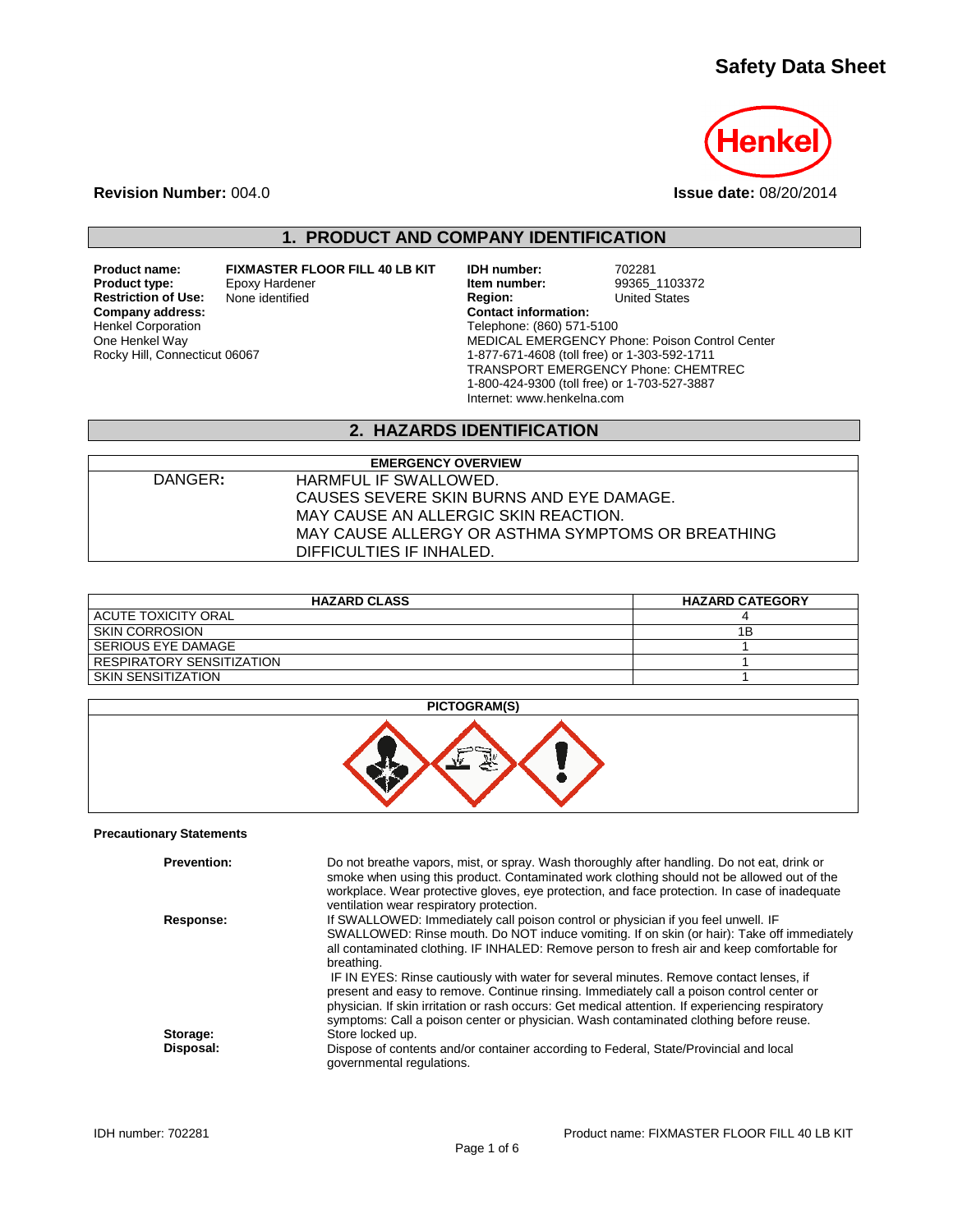# **Safety Data Sheet**



**Revision Number:** 004.0 **Issue date:** 08/20/2014

# **1. PRODUCT AND COMPANY IDENTIFICATION**

**Restriction of Use:**<br>Company address: Henkel Corporation One Henkel Way Rocky Hill, Connecticut 06067

**Product name: FIXMASTER FLOOR FILL 40 LB KIT IDH number:** 702281<br>**Product type:** Epoxy Hardener **in the product type:** 99365 1103372 **Product type:** Epoxy Hardener **Item number:** 99365\_11033<br>
None identified **Interpretate Region:** United States **Company address: Contact information:** Telephone: (860) 571-5100 MEDICAL EMERGENCY Phone: Poison Control Center 1-877-671-4608 (toll free) or 1-303-592-1711 TRANSPORT EMERGENCY Phone: CHEMTREC 1-800-424-9300 (toll free) or 1-703-527-3887 Internet: www.henkelna.com

# **2. HAZARDS IDENTIFICATION**

|         | <b>EMERGENCY OVERVIEW</b>                         |
|---------|---------------------------------------------------|
| DANGER: | HARMFUL IF SWALLOWED.                             |
|         | CAUSES SEVERE SKIN BURNS AND EYE DAMAGE.          |
|         | MAY CAUSE AN ALLERGIC SKIN REACTION.              |
|         | MAY CAUSE ALLERGY OR ASTHMA SYMPTOMS OR BREATHING |
|         | DIFFICULTIES IF INHALED.                          |

| <b>HAZARD CLASS</b>              | <b>HAZARD CATEGORY</b> |
|----------------------------------|------------------------|
| ACUTE TOXICITY ORAL              |                        |
| <b>SKIN CORROSION</b>            | 1Β                     |
| SERIOUS EYE DAMAGE               |                        |
| <b>RESPIRATORY SENSITIZATION</b> |                        |
| <b>SKIN SENSITIZATION</b>        |                        |





#### **Precautionary Statements**

| <b>Prevention:</b> | Do not breathe vapors, mist, or spray. Wash thoroughly after handling. Do not eat, drink or<br>smoke when using this product. Contaminated work clothing should not be allowed out of the<br>workplace. Wear protective gloves, eye protection, and face protection. In case of inadequate<br>ventilation wear respiratory protection.                                           |
|--------------------|----------------------------------------------------------------------------------------------------------------------------------------------------------------------------------------------------------------------------------------------------------------------------------------------------------------------------------------------------------------------------------|
| Response:          | If SWALLOWED: Immediately call poison control or physician if you feel unwell. IF                                                                                                                                                                                                                                                                                                |
|                    | SWALLOWED: Rinse mouth. Do NOT induce vomiting. If on skin (or hair): Take off immediately<br>all contaminated clothing. IF INHALED: Remove person to fresh air and keep comfortable for<br>breathing.                                                                                                                                                                           |
|                    | IF IN EYES: Rinse cautiously with water for several minutes. Remove contact lenses, if<br>present and easy to remove. Continue rinsing. Immediately call a poison control center or<br>physician. If skin irritation or rash occurs: Get medical attention. If experiencing respiratory<br>symptoms: Call a poison center or physician. Wash contaminated clothing before reuse. |
| Storage:           | Store locked up.                                                                                                                                                                                                                                                                                                                                                                 |
| Disposal:          | Dispose of contents and/or container according to Federal, State/Provincial and local<br>governmental regulations.                                                                                                                                                                                                                                                               |
|                    |                                                                                                                                                                                                                                                                                                                                                                                  |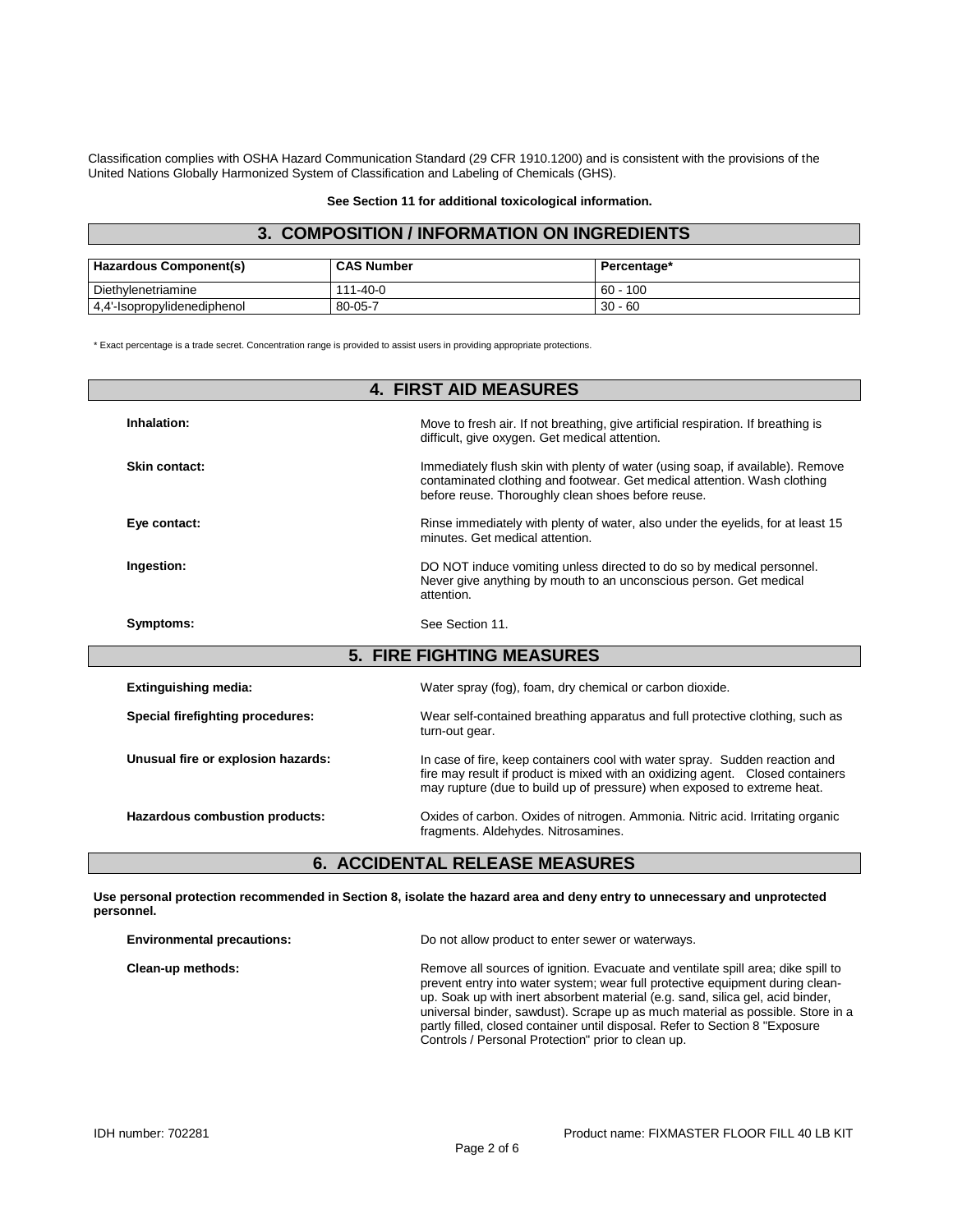Classification complies with OSHA Hazard Communication Standard (29 CFR 1910.1200) and is consistent with the provisions of the United Nations Globally Harmonized System of Classification and Labeling of Chemicals (GHS).

**See Section 11 for additional toxicological information.**

### **3. COMPOSITION / INFORMATION ON INGREDIENTS**

| <b>Hazardous Component(s)</b> | <b>CAS Number</b> | Percentage* |
|-------------------------------|-------------------|-------------|
| Diethylenetriamine            | $111 - 40 - 0$    | $60 - 100$  |
| 4,4'-Isopropylidenediphenol   | 80-05-7           | $30 - 60$   |

\* Exact percentage is a trade secret. Concentration range is provided to assist users in providing appropriate protections.

|                                    | <b>4. FIRST AID MEASURES</b>                                                                                                                                                                                                             |
|------------------------------------|------------------------------------------------------------------------------------------------------------------------------------------------------------------------------------------------------------------------------------------|
| Inhalation:                        | Move to fresh air. If not breathing, give artificial respiration. If breathing is<br>difficult, give oxygen. Get medical attention.                                                                                                      |
| Skin contact:                      | Immediately flush skin with plenty of water (using soap, if available). Remove<br>contaminated clothing and footwear. Get medical attention. Wash clothing<br>before reuse. Thoroughly clean shoes before reuse.                         |
| Eye contact:                       | Rinse immediately with plenty of water, also under the eyelids, for at least 15<br>minutes. Get medical attention.                                                                                                                       |
| Ingestion:                         | DO NOT induce vomiting unless directed to do so by medical personnel.<br>Never give anything by mouth to an unconscious person. Get medical<br>attention.                                                                                |
| Symptoms:                          | See Section 11.                                                                                                                                                                                                                          |
|                                    | <b>5. FIRE FIGHTING MEASURES</b>                                                                                                                                                                                                         |
| <b>Extinguishing media:</b>        | Water spray (fog), foam, dry chemical or carbon dioxide.                                                                                                                                                                                 |
| Special firefighting procedures:   | Wear self-contained breathing apparatus and full protective clothing, such as<br>turn-out gear.                                                                                                                                          |
| Unusual fire or explosion hazards: | In case of fire, keep containers cool with water spray. Sudden reaction and<br>fire may result if product is mixed with an oxidizing agent. Closed containers<br>may rupture (due to build up of pressure) when exposed to extreme heat. |
| Hazardous combustion products:     | Oxides of carbon. Oxides of nitrogen. Ammonia. Nitric acid. Irritating organic<br>fragments. Aldehydes. Nitrosamines.                                                                                                                    |

## **6. ACCIDENTAL RELEASE MEASURES**

**Use personal protection recommended in Section 8, isolate the hazard area and deny entry to unnecessary and unprotected personnel.**

| <b>Environmental precautions:</b> | Do not allow product to enter sewer or waterways.                                                                                                                                                                                                                                                                                                                                                                                                                            |
|-----------------------------------|------------------------------------------------------------------------------------------------------------------------------------------------------------------------------------------------------------------------------------------------------------------------------------------------------------------------------------------------------------------------------------------------------------------------------------------------------------------------------|
| Clean-up methods:                 | Remove all sources of ignition. Evacuate and ventilate spill area; dike spill to<br>prevent entry into water system; wear full protective equipment during clean-<br>up. Soak up with inert absorbent material (e.g. sand, silica gel, acid binder,<br>universal binder, sawdust). Scrape up as much material as possible. Store in a<br>partly filled, closed container until disposal. Refer to Section 8 "Exposure"<br>Controls / Personal Protection" prior to clean up. |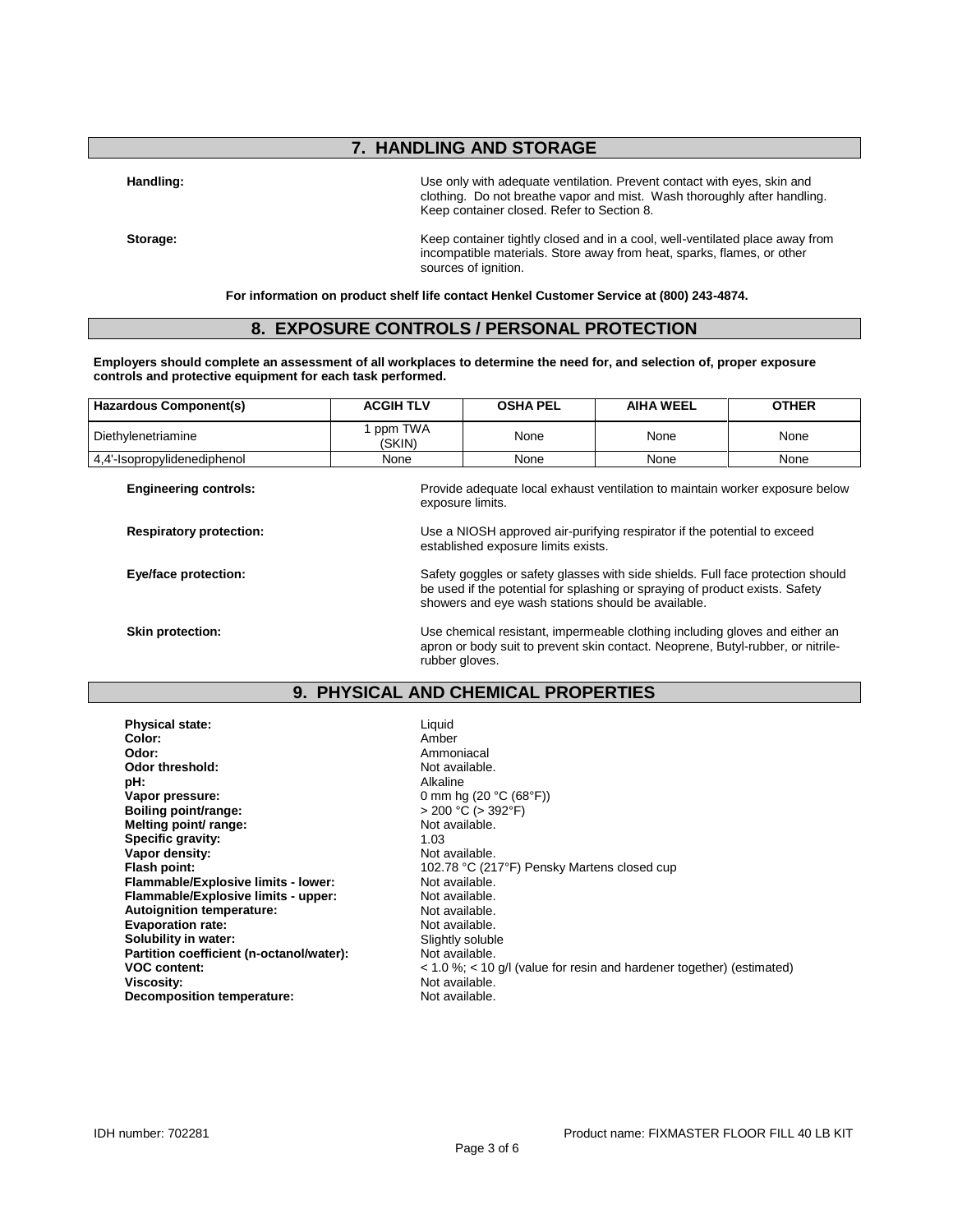## **7. HANDLING AND STORAGE**

**Handling:** Use only with adequate ventilation. Prevent contact with eyes, skin and clothing. Do not breathe vapor and mist. Wash thoroughly after handling. Keep container closed. Refer to Section 8.

**Storage:** Keep container tightly closed and in a cool, well-ventilated place away from incompatible materials. Store away from heat, sparks, flames, or other sources of ignition.

**For information on product shelf life contact Henkel Customer Service at (800) 243-4874.**

### **8. EXPOSURE CONTROLS / PERSONAL PROTECTION**

**Employers should complete an assessment of all workplaces to determine the need for, and selection of, proper exposure controls and protective equipment for each task performed.**

| Hazardous Component(s)      | <b>ACGIH TLV</b>  | <b>OSHA PEL</b> | AIHA WEEL | <b>OTHER</b> |
|-----------------------------|-------------------|-----------------|-----------|--------------|
| Diethylenetriamine          | ppm TWA<br>(SKIN) | None            | None      | None         |
| 4.4'-Isopropylidenediphenol | None              | None            | None      | None         |

established exposure limits exists.

**Engineering controls:** Provide adequate local exhaust ventilation to maintain worker exposure below exposure limits.

**Respiratory protection:** Use a NIOSH approved air-purifying respirator if the potential to exceed

**Eye/face protection:** Safety goggles or safety glasses with side shields. Full face protection should be used if the potential for splashing or spraying of product exists. Safety

showers and eye wash stations should be available. **Skin protection:** Use chemical resistant, impermeable clothing including gloves and either an under the resistant, impermeable clothing including gloves and either an apron or body suit to prevent skin contact. Neoprene, Butyl-rubber, or nitrile-

#### **9. PHYSICAL AND CHEMICAL PROPERTIES**

rubber gloves.

| <b>Physical state:</b>                   | Liquid           |
|------------------------------------------|------------------|
| Color:                                   | Amber            |
| Odor:                                    | Ammon            |
| Odor threshold:                          | Not ava          |
| pH:                                      | Alkaline         |
| Vapor pressure:                          | $0 \text{ mm}$ h |
| Boiling point/range:                     | > 200 °          |
| Melting point/ range:                    | Not ava          |
| Specific gravity:                        | 1.03             |
| Vapor density:                           | Not ava          |
| Flash point:                             | 102.78           |
| Flammable/Explosive limits - lower:      | Not ava          |
| Flammable/Explosive limits - upper:      | Not ava          |
| <b>Autoignition temperature:</b>         | Not ava          |
| <b>Evaporation rate:</b>                 | Not ava          |
| Solubility in water:                     | Slightly         |
| Partition coefficient (n-octanol/water): | Not ava          |
| <b>VOC content:</b>                      | < 1.0 %          |
| Viscosity:                               | Not ava          |
| <b>Decomposition temperature:</b>        | Not ava          |

**Color:** Amber **Odor:** Ammoniacal **Not available. Vapor pressure:** 0 mm hg (20 °C (68°F))  $> 200 °C$  ( $> 392 °F$ ) **Not available. Not available. Flash point:** 102.78 °C (217°F) Pensky Martens closed cup Not available. **Not available. Not available. Not available. Slightly soluble Not available. VOC content:** < 1.0 %; < 10 g/l (value for resin and hardener together) (estimated) Not available. Not available.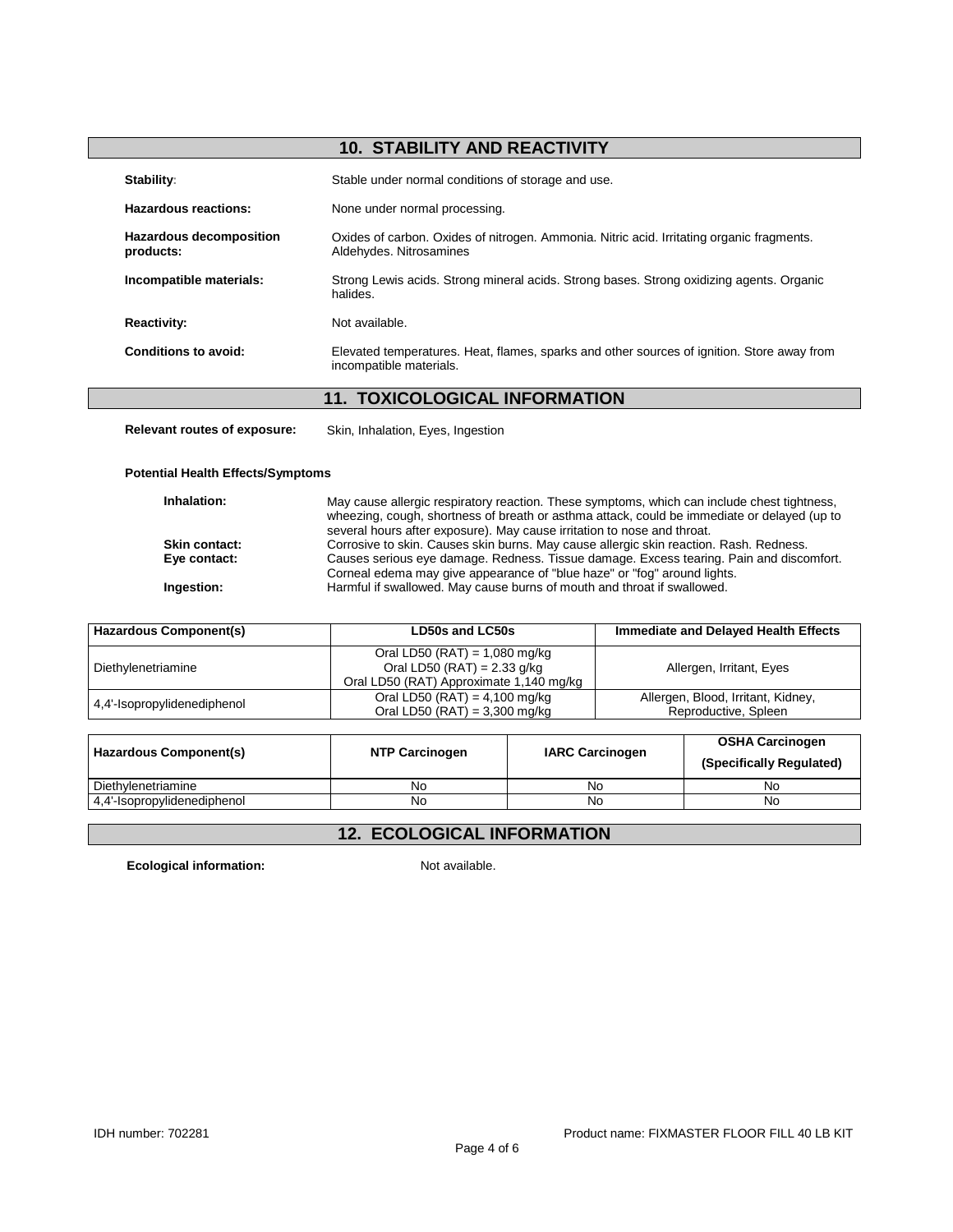# **10. STABILITY AND REACTIVITY**

| Stability:                                  | Stable under normal conditions of storage and use.                                                                    |
|---------------------------------------------|-----------------------------------------------------------------------------------------------------------------------|
| Hazardous reactions:                        | None under normal processing.                                                                                         |
| <b>Hazardous decomposition</b><br>products: | Oxides of carbon. Oxides of nitrogen. Ammonia. Nitric acid. Irritating organic fragments.<br>Aldehydes. Nitrosamines  |
| Incompatible materials:                     | Strong Lewis acids. Strong mineral acids. Strong bases. Strong oxidizing agents. Organic<br>halides.                  |
| <b>Reactivity:</b>                          | Not available.                                                                                                        |
| Conditions to avoid:                        | Elevated temperatures. Heat, flames, sparks and other sources of ignition. Store away from<br>incompatible materials. |

## **11. TOXICOLOGICAL INFORMATION**

**Relevant routes of exposure:** Skin, Inhalation, Eyes, Ingestion

#### **Potential Health Effects/Symptoms**

| Inhalation:          | May cause allergic respiratory reaction. These symptoms, which can include chest tightness,<br>wheezing, cough, shortness of breath or asthma attack, could be immediate or delayed (up to<br>several hours after exposure). May cause irritation to nose and throat. |
|----------------------|-----------------------------------------------------------------------------------------------------------------------------------------------------------------------------------------------------------------------------------------------------------------------|
| <b>Skin contact:</b> | Corrosive to skin. Causes skin burns. May cause allergic skin reaction. Rash. Redness.                                                                                                                                                                                |
| Eye contact:         | Causes serious eye damage. Redness. Tissue damage. Excess tearing. Pain and discomfort.                                                                                                                                                                               |
| Ingestion:           | Corneal edema may give appearance of "blue haze" or "fog" around lights.<br>Harmful if swallowed. May cause burns of mouth and throat if swallowed.                                                                                                                   |

| <b>Hazardous Component(s)</b> | LD50s and LC50s                                                                                           | <b>Immediate and Delayed Health Effects</b>                |  |
|-------------------------------|-----------------------------------------------------------------------------------------------------------|------------------------------------------------------------|--|
| Diethylenetriamine            | Oral LD50 (RAT) = 1,080 mg/kg<br>Oral LD50 (RAT) = $2.33$ g/kg<br>Oral LD50 (RAT) Approximate 1,140 mg/kg | Allergen, Irritant, Eyes                                   |  |
| 4,4'-Isopropylidenediphenol   | Oral LD50 (RAT) = $4,100$ mg/kg<br>Oral LD50 (RAT) = $3,300$ mg/kg                                        | Allergen, Blood, Irritant, Kidney,<br>Reproductive, Spleen |  |

| Hazardous Component(s)      | <b>NTP Carcinogen</b> | <b>IARC Carcinogen</b> | OSHA Carcinogen<br>(Specifically Regulated) |
|-----------------------------|-----------------------|------------------------|---------------------------------------------|
| Diethylenetriamine          | No.                   | No                     | No                                          |
| 4,4'-Isopropylidenediphenol | No                    | No                     | No                                          |

# **12. ECOLOGICAL INFORMATION**

**Ecological information:** Not available.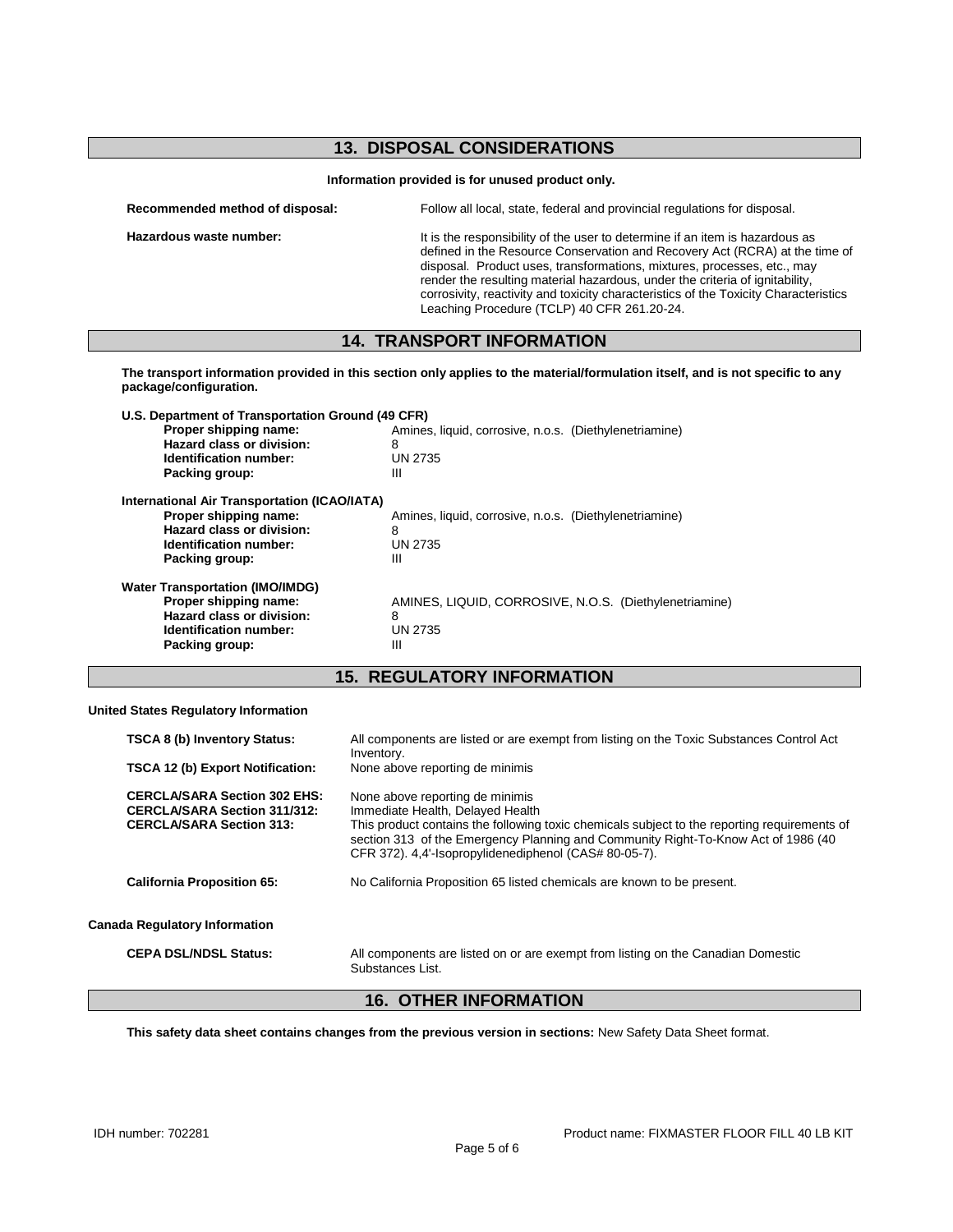## **13. DISPOSAL CONSIDERATIONS**

|  |  |  | Information provided is for unused product only. |
|--|--|--|--------------------------------------------------|
|--|--|--|--------------------------------------------------|

| Recommended method of disposal: | Follow all local, state, federal and provincial regulations for disposal.                                                                                                   |
|---------------------------------|-----------------------------------------------------------------------------------------------------------------------------------------------------------------------------|
| Hazardous waste number:         | It is the responsibility of the user to determine if an item is hazardous as<br>$A \cdot B \cdot A \cdot A$ is the December Order contract of December And (DODA), at the t |

defined in the Resource Conservation and Recovery Act (RCRA) at the time of disposal. Product uses, transformations, mixtures, processes, etc., may render the resulting material hazardous, under the criteria of ignitability, corrosivity, reactivity and toxicity characteristics of the Toxicity Characteristics Leaching Procedure (TCLP) 40 CFR 261.20-24.

#### **14. TRANSPORT INFORMATION**

**The transport information provided in this section only applies to the material/formulation itself, and is not specific to any package/configuration.**

| U.S. Department of Transportation Ground (49 CFR)<br>Proper shipping name:<br>Hazard class or division:<br>Identification number:<br>Packing group: | Amines, liquid, corrosive, n.o.s. (Diethylenetriamine)<br>8<br>UN 2735<br>Ш |
|-----------------------------------------------------------------------------------------------------------------------------------------------------|-----------------------------------------------------------------------------|
| International Air Transportation (ICAO/IATA)<br>Proper shipping name:<br>Hazard class or division:<br>Identification number:<br>Packing group:      | Amines, liquid, corrosive, n.o.s. (Diethylenetriamine)<br>8<br>UN 2735<br>Ш |
| <b>Water Transportation (IMO/IMDG)</b><br>Proper shipping name:<br>Hazard class or division:<br>Identification number:<br>Packing group:            | AMINES, LIQUID, CORROSIVE, N.O.S. (Diethylenetriamine)<br>8<br>UN 2735<br>Ш |

## **15. REGULATORY INFORMATION**

**United States Regulatory Information**

| <b>16. OTHER INFORMATION</b>                                                                                  |                                                                                                                                                                                                                                                                                                                   |  |  |  |
|---------------------------------------------------------------------------------------------------------------|-------------------------------------------------------------------------------------------------------------------------------------------------------------------------------------------------------------------------------------------------------------------------------------------------------------------|--|--|--|
| <b>CEPA DSL/NDSL Status:</b>                                                                                  | All components are listed on or are exempt from listing on the Canadian Domestic<br>Substances List.                                                                                                                                                                                                              |  |  |  |
| <b>Canada Regulatory Information</b>                                                                          |                                                                                                                                                                                                                                                                                                                   |  |  |  |
| <b>California Proposition 65:</b>                                                                             | No California Proposition 65 listed chemicals are known to be present.                                                                                                                                                                                                                                            |  |  |  |
| <b>CERCLA/SARA Section 302 EHS:</b><br><b>CERCLA/SARA Section 311/312:</b><br><b>CERCLA/SARA Section 313:</b> | None above reporting de minimis<br>Immediate Health, Delayed Health<br>This product contains the following toxic chemicals subject to the reporting requirements of<br>section 313 of the Emergency Planning and Community Right-To-Know Act of 1986 (40<br>CFR 372). 4,4'-Isopropylidenediphenol (CAS# 80-05-7). |  |  |  |
| <b>TSCA 12 (b) Export Notification:</b>                                                                       | None above reporting de minimis                                                                                                                                                                                                                                                                                   |  |  |  |
| <b>TSCA 8 (b) Inventory Status:</b>                                                                           | All components are listed or are exempt from listing on the Toxic Substances Control Act<br>Inventory.                                                                                                                                                                                                            |  |  |  |

**This safety data sheet contains changes from the previous version in sections:** New Safety Data Sheet format.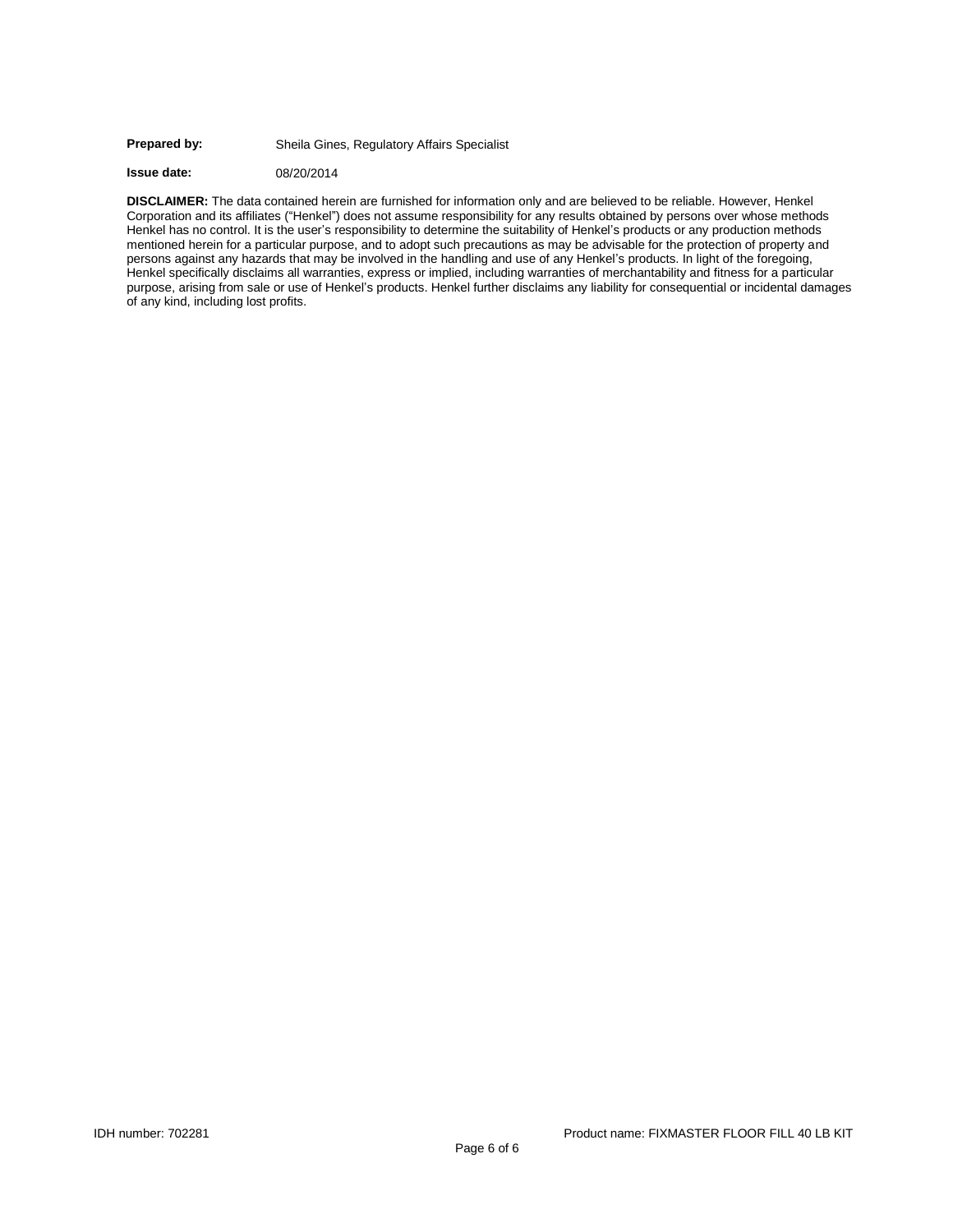#### **Prepared by:** Sheila Gines, Regulatory Affairs Specialist

**Issue date:** 08/20/2014

**DISCLAIMER:** The data contained herein are furnished for information only and are believed to be reliable. However, Henkel Corporation and its affiliates ("Henkel") does not assume responsibility for any results obtained by persons over whose methods Henkel has no control. It is the user's responsibility to determine the suitability of Henkel's products or any production methods mentioned herein for a particular purpose, and to adopt such precautions as may be advisable for the protection of property and persons against any hazards that may be involved in the handling and use of any Henkel's products. In light of the foregoing, Henkel specifically disclaims all warranties, express or implied, including warranties of merchantability and fitness for a particular purpose, arising from sale or use of Henkel's products. Henkel further disclaims any liability for consequential or incidental damages of any kind, including lost profits.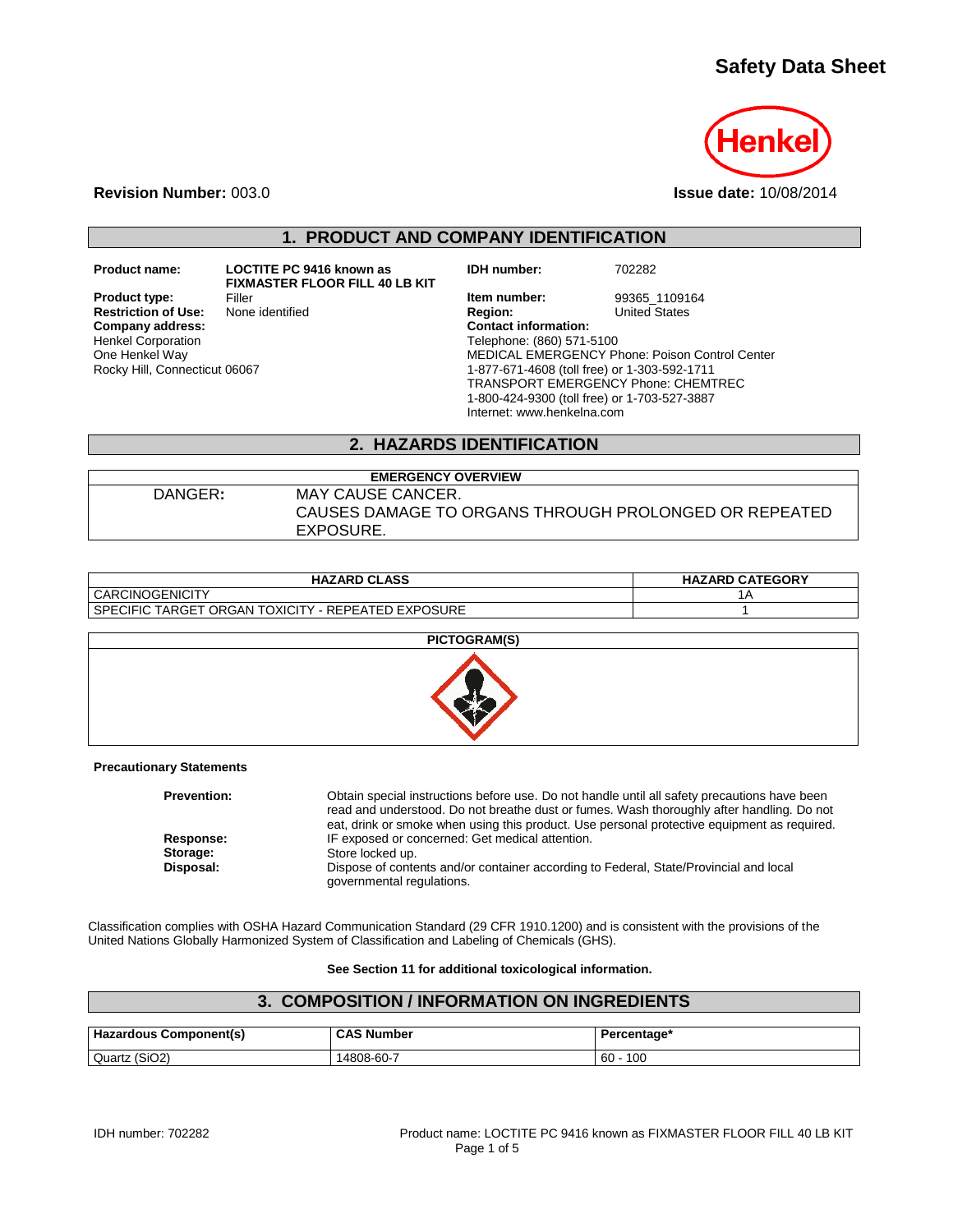# **Safety Data Sheet**



**Revision Number:** 003.0 **Issue date:** 10/08/2014

## **1. PRODUCT AND COMPANY IDENTIFICATION**

**Product name: LOCTITE PC 9416 known as** 

**Restriction of Use:**<br>Company address: Henkel Corporation One Henkel Way Rocky Hill, Connecticut 06067

**FIXMASTER FLOOR FILL 40 LB KIT**

**IDH number:** 702282

**Product type:** Filler Filler **Filler Item number:** 99365\_1109164<br> **Restriction of Use:** None identified **Interpretate States Interpretates Company address: Contact information:** Telephone: (860) 571-5100 MEDICAL EMERGENCY Phone: Poison Control Center 1-877-671-4608 (toll free) or 1-303-592-1711 TRANSPORT EMERGENCY Phone: CHEMTREC 1-800-424-9300 (toll free) or 1-703-527-3887 Internet: www.henkelna.com

### **2. HAZARDS IDENTIFICATION**

#### **EMERGENCY OVERVIEW** DANGER**:** MAY CAUSE CANCER. CAUSES DAMAGE TO ORGANS THROUGH PROLONGED OR REPEATED EXPOSURE.

| <b>HAZARD CLASS</b>                                     | <b>HAZARD CATEGORY</b> |
|---------------------------------------------------------|------------------------|
| <b>CARCINOGENICITY</b>                                  | ıΑ                     |
| SPECIFIC TARGET ORGAN TOXICITY<br>4 - REPEATED EXPOSURE |                        |



**Precautionary Statements**

| <b>Prevention:</b> | Obtain special instructions before use. Do not handle until all safety precautions have been<br>read and understood. Do not breathe dust or fumes. Wash thoroughly after handling. Do not<br>eat, drink or smoke when using this product. Use personal protective equipment as required. |
|--------------------|------------------------------------------------------------------------------------------------------------------------------------------------------------------------------------------------------------------------------------------------------------------------------------------|
| Response:          | IF exposed or concerned: Get medical attention.                                                                                                                                                                                                                                          |
| Storage:           | Store locked up.                                                                                                                                                                                                                                                                         |
| Disposal:          | Dispose of contents and/or container according to Federal, State/Provincial and local<br>governmental regulations.                                                                                                                                                                       |

Classification complies with OSHA Hazard Communication Standard (29 CFR 1910.1200) and is consistent with the provisions of the United Nations Globally Harmonized System of Classification and Labeling of Chemicals (GHS).

#### **See Section 11 for additional toxicological information.**

# **3. COMPOSITION / INFORMATION ON INGREDIENTS**

| <b>Hazardous Component(s)</b> | <b>CAS Number</b> | Percentage* |
|-------------------------------|-------------------|-------------|
| Quartz (SiO2)                 | 14808-60-7        | 100<br>60   |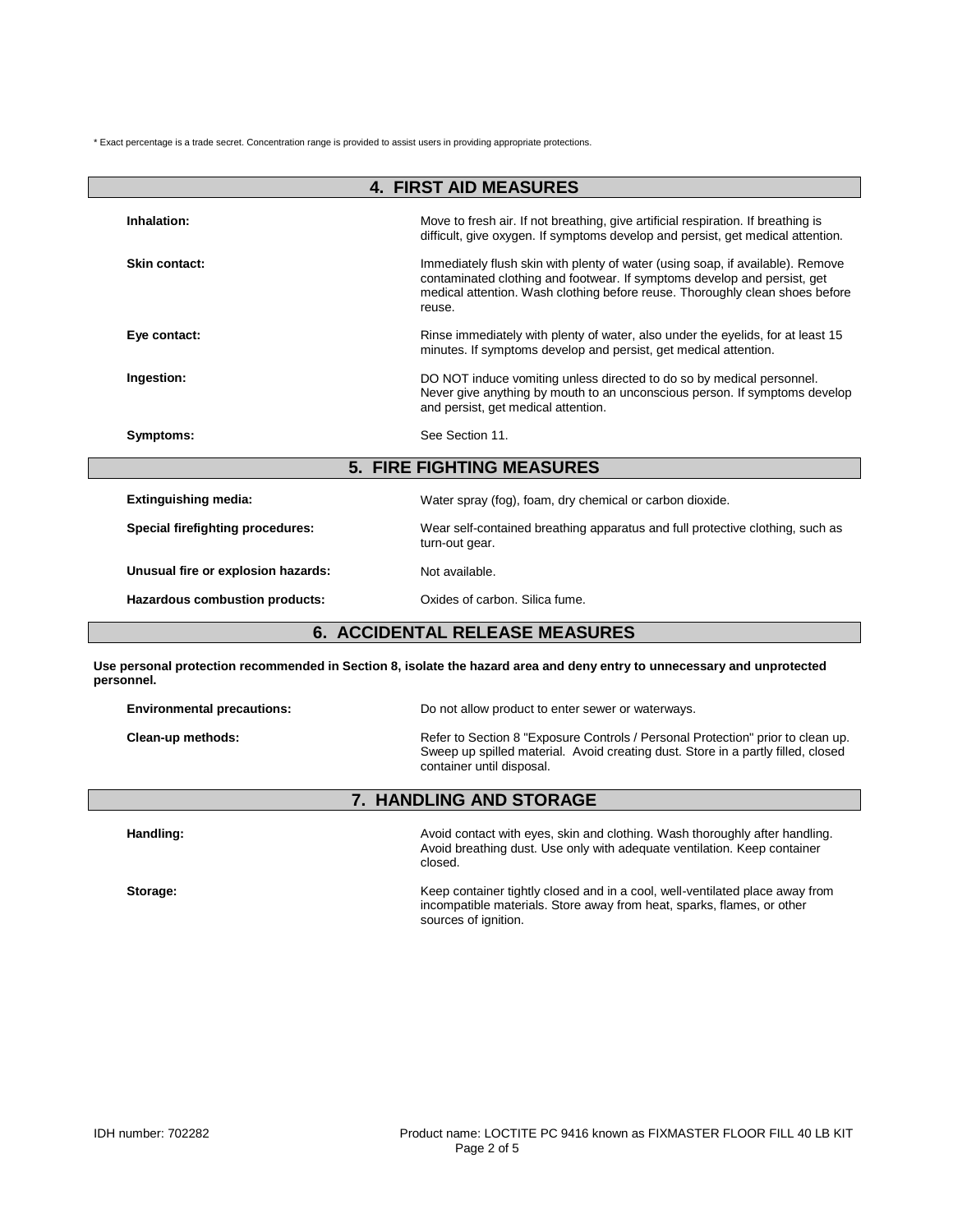\* Exact percentage is a trade secret. Concentration range is provided to assist users in providing appropriate protections.

| <b>4. FIRST AID MEASURES</b>          |                                                                                                                                                                                                                                                      |  |  |
|---------------------------------------|------------------------------------------------------------------------------------------------------------------------------------------------------------------------------------------------------------------------------------------------------|--|--|
| Inhalation:                           | Move to fresh air. If not breathing, give artificial respiration. If breathing is<br>difficult, give oxygen. If symptoms develop and persist, get medical attention.                                                                                 |  |  |
| Skin contact:                         | Immediately flush skin with plenty of water (using soap, if available). Remove<br>contaminated clothing and footwear. If symptoms develop and persist, get<br>medical attention. Wash clothing before reuse. Thoroughly clean shoes before<br>reuse. |  |  |
| Eye contact:                          | Rinse immediately with plenty of water, also under the eyelids, for at least 15<br>minutes. If symptoms develop and persist, get medical attention.                                                                                                  |  |  |
| Ingestion:                            | DO NOT induce vomiting unless directed to do so by medical personnel.<br>Never give anything by mouth to an unconscious person. If symptoms develop<br>and persist, get medical attention.                                                           |  |  |
| Symptoms:                             | See Section 11.                                                                                                                                                                                                                                      |  |  |
|                                       | <b>5. FIRE FIGHTING MEASURES</b>                                                                                                                                                                                                                     |  |  |
| <b>Extinguishing media:</b>           | Water spray (fog), foam, dry chemical or carbon dioxide.                                                                                                                                                                                             |  |  |
| Special firefighting procedures:      | Wear self-contained breathing apparatus and full protective clothing, such as<br>turn-out gear.                                                                                                                                                      |  |  |
| Unusual fire or explosion hazards:    | Not available.                                                                                                                                                                                                                                       |  |  |
| Hazardous combustion products:        | Oxides of carbon. Silica fume.                                                                                                                                                                                                                       |  |  |
| <b>6. ACCIDENTAL RELEASE MEASURES</b> |                                                                                                                                                                                                                                                      |  |  |

**Use personal protection recommended in Section 8, isolate the hazard area and deny entry to unnecessary and unprotected personnel.**

| <b>7. HANDLING AND STORAGE</b>    |                                                                                                                                                                                                  |  |
|-----------------------------------|--------------------------------------------------------------------------------------------------------------------------------------------------------------------------------------------------|--|
| Clean-up methods:                 | Refer to Section 8 "Exposure Controls / Personal Protection" prior to clean up.<br>Sweep up spilled material. Avoid creating dust. Store in a partly filled, closed<br>container until disposal. |  |
| <b>Environmental precautions:</b> | Do not allow product to enter sewer or waterways.                                                                                                                                                |  |

Handling: **Handling: Handling:** Avoid contact with eyes, skin and clothing. Wash thoroughly after handling. Avoid breathing dust. Use only with adequate ventilation. Keep container closed.

**Storage:** Keep container tightly closed and in a cool, well-ventilated place away from incompatible materials. Store away from heat, sparks, flames, or other sources of ignition.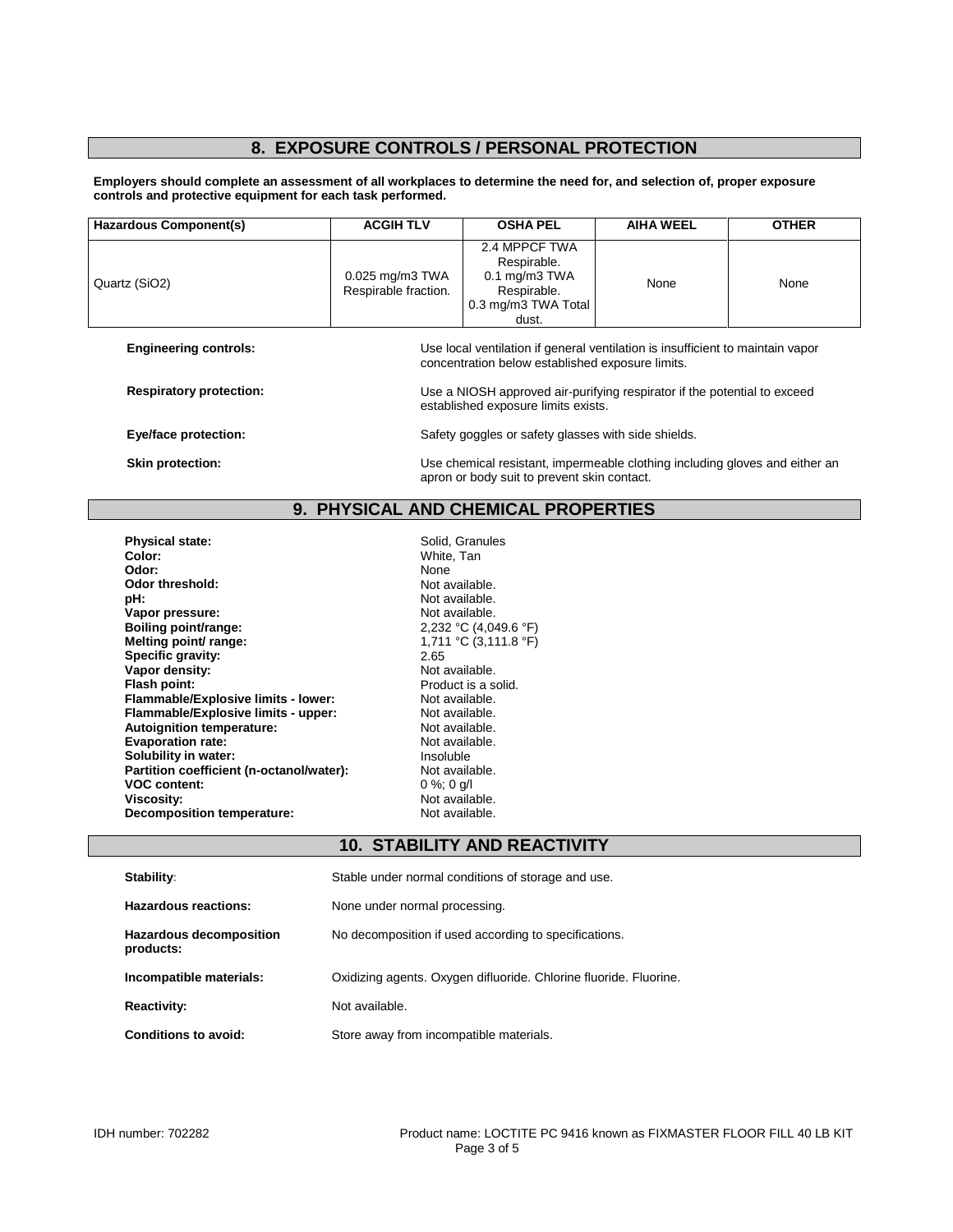# **8. EXPOSURE CONTROLS / PERSONAL PROTECTION**

**Employers should complete an assessment of all workplaces to determine the need for, and selection of, proper exposure controls and protective equipment for each task performed.**

| <b>Hazardous Component(s)</b>       | <b>ACGIH TLV</b>                                                                                                                   | <b>OSHA PEL</b>                                                                                   | <b>AIHA WEEL</b> | <b>OTHER</b> |  |
|-------------------------------------|------------------------------------------------------------------------------------------------------------------------------------|---------------------------------------------------------------------------------------------------|------------------|--------------|--|
| Quartz (SiO2)                       | 0.025 mg/m3 TWA<br>Respirable fraction.                                                                                            | 2.4 MPPCF TWA<br>Respirable.<br>$0.1$ mg/m $3$ TWA<br>Respirable.<br>0.3 mg/m3 TWA Total<br>dust. | None             | None         |  |
| <b>Engineering controls:</b>        | Use local ventilation if general ventilation is insufficient to maintain vapor<br>concentration below established exposure limits. |                                                                                                   |                  |              |  |
| <b>Respiratory protection:</b>      | Use a NIOSH approved air-purifying respirator if the potential to exceed<br>established exposure limits exists.                    |                                                                                                   |                  |              |  |
| Eye/face protection:                | Safety goggles or safety glasses with side shields.                                                                                |                                                                                                   |                  |              |  |
| Skin protection:                    | Use chemical resistant, impermeable clothing including gloves and either an<br>apron or body suit to prevent skin contact.         |                                                                                                   |                  |              |  |
| 9. PHYSICAL AND CHEMICAL PROPERTIES |                                                                                                                                    |                                                                                                   |                  |              |  |

| <b>Physical state:</b><br>Color:         | Solid. Granules<br>White. Tan |
|------------------------------------------|-------------------------------|
| Odor:                                    | None                          |
| Odor threshold:                          | Not available.                |
| pH:                                      | Not available.                |
| Vapor pressure:                          | Not available.                |
| Boiling point/range:                     | 2,232 °C (4,049               |
| Melting point/ range:                    | 1,711 °C (3,111               |
| Specific gravity:                        | 2.65                          |
| Vapor density:                           | Not available.                |
| Flash point:                             | Product is a soli             |
| Flammable/Explosive limits - lower:      | Not available.                |
| Flammable/Explosive limits - upper:      | Not available.                |
| Autoignition temperature:                | Not available.                |
| <b>Evaporation rate:</b>                 | Not available.                |
| Solubility in water:                     | Insoluble                     |
| Partition coefficient (n-octanol/water): | Not available.                |
| <b>VOC content:</b>                      | 0 %; 0 a/l                    |
| <b>Viscosity:</b>                        | Not available.                |
| <b>Decomposition temperature:</b>        | Not available.                |

White, Tan<br>None Not available. Not available. **Not available. Boiling point/range:** 2,232 °C (4,049.6 °F) 1,711 °C (3,111.8 °F)<br>2.65 **Not available. Product is a solid. Not available. Not available. Not available. Evaporation rate:** Not available. **Insoluble Not available. VOC content:** 0 %; 0 g/l **Viscosity:** Not available. **Not available.** 

## **10. STABILITY AND REACTIVITY**

| Stability:                                  | Stable under normal conditions of storage and use.                |
|---------------------------------------------|-------------------------------------------------------------------|
| Hazardous reactions:                        | None under normal processing.                                     |
| <b>Hazardous decomposition</b><br>products: | No decomposition if used according to specifications.             |
| Incompatible materials:                     | Oxidizing agents. Oxygen difluoride. Chlorine fluoride. Fluorine. |
| <b>Reactivity:</b>                          | Not available.                                                    |
| Conditions to avoid:                        | Store away from incompatible materials.                           |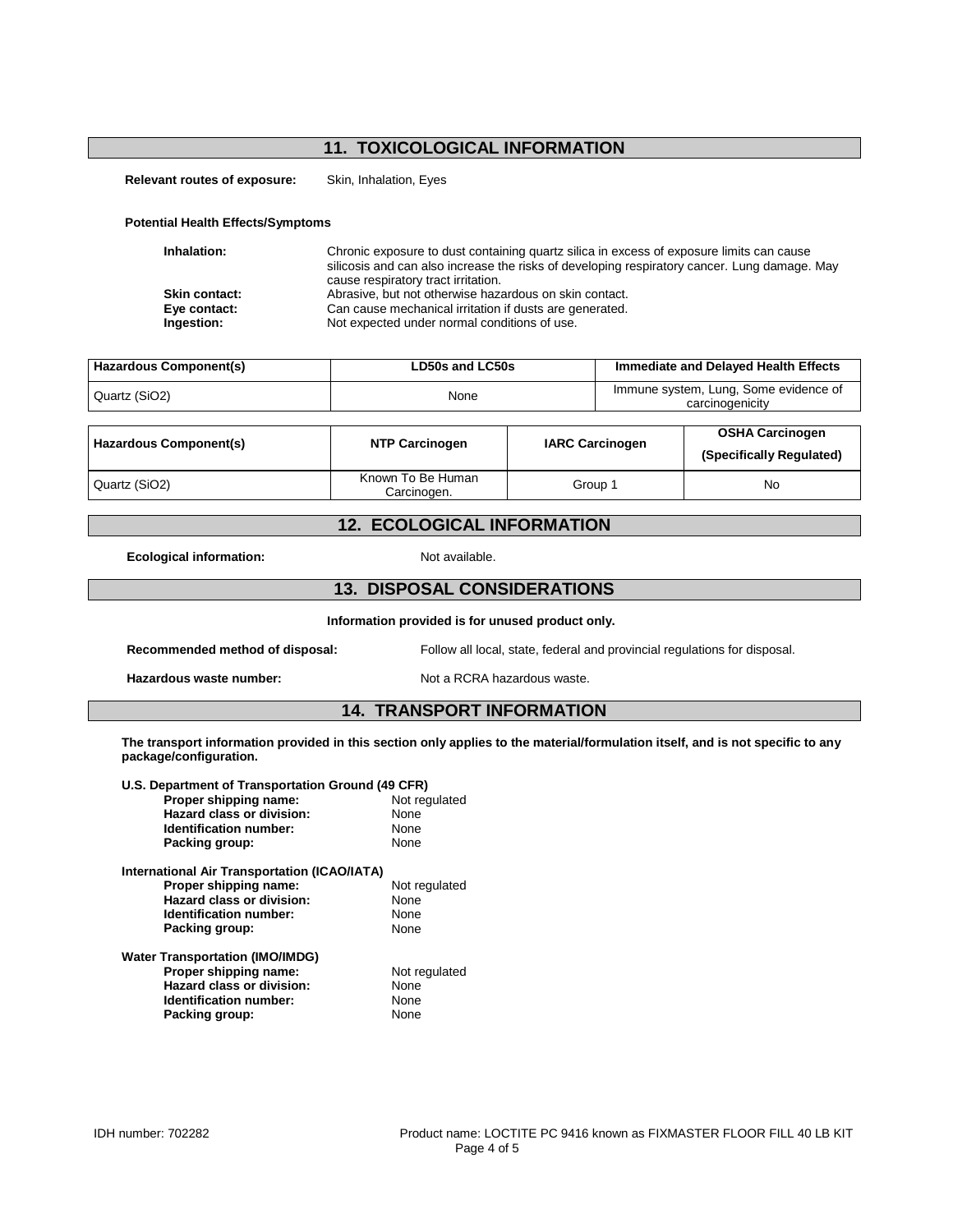## **11. TOXICOLOGICAL INFORMATION**

**Relevant routes of exposure:** Skin, Inhalation, Eyes

#### **Potential Health Effects/Symptoms**

| Inhalation:          | Chronic exposure to dust containing quartz silica in excess of exposure limits can cause<br>silicosis and can also increase the risks of developing respiratory cancer. Lung damage. May<br>cause respiratory tract irritation. |
|----------------------|---------------------------------------------------------------------------------------------------------------------------------------------------------------------------------------------------------------------------------|
| <b>Skin contact:</b> | Abrasive, but not otherwise hazardous on skin contact.                                                                                                                                                                          |
| Eye contact:         | Can cause mechanical irritation if dusts are generated.                                                                                                                                                                         |
| Ingestion:           | Not expected under normal conditions of use.                                                                                                                                                                                    |

| Hazardous Component(s) | LD50s and LC50s | Immediate and Delayed Health Effects                     |
|------------------------|-----------------|----------------------------------------------------------|
| Quartz (SiO2)          | None            | Immune system, Lung, Some evidence of<br>carcinogenicity |

| Hazardous Component(s) | <b>NTP Carcinogen</b>            | <b>IARC Carcinogen</b> | <b>OSHA Carcinogen</b><br>(Specifically Regulated) |
|------------------------|----------------------------------|------------------------|----------------------------------------------------|
| Quartz (SiO2)          | Known To Be Human<br>Carcinogen. | Group 1                | No                                                 |

### **12. ECOLOGICAL INFORMATION**

**Ecological information:** Not available.

#### **13. DISPOSAL CONSIDERATIONS**

**Information provided is for unused product only.**

**Recommended method of disposal:** Follow all local, state, federal and provincial regulations for disposal.

Hazardous waste number: Not a RCRA hazardous waste.

#### **14. TRANSPORT INFORMATION**

**The transport information provided in this section only applies to the material/formulation itself, and is not specific to any package/configuration.**

| U.S. Department of Transportation Ground (49 CFR) |               |
|---------------------------------------------------|---------------|
| Proper shipping name:                             | Not regulated |
| Hazard class or division:                         | <b>None</b>   |
| Identification number:                            | None          |
| Packing group:                                    | None          |
| International Air Transportation (ICAO/IATA)      |               |
| Proper shipping name:                             | Not regulated |
| Hazard class or division:                         | None          |
| Identification number:                            | None          |
| Packing group:                                    | None          |
| <b>Water Transportation (IMO/IMDG)</b>            |               |
| Proper shipping name:                             | Not regulated |
| Hazard class or division:                         | None          |
| Identification number:                            | None          |
| Packing group:                                    | None          |
|                                                   |               |